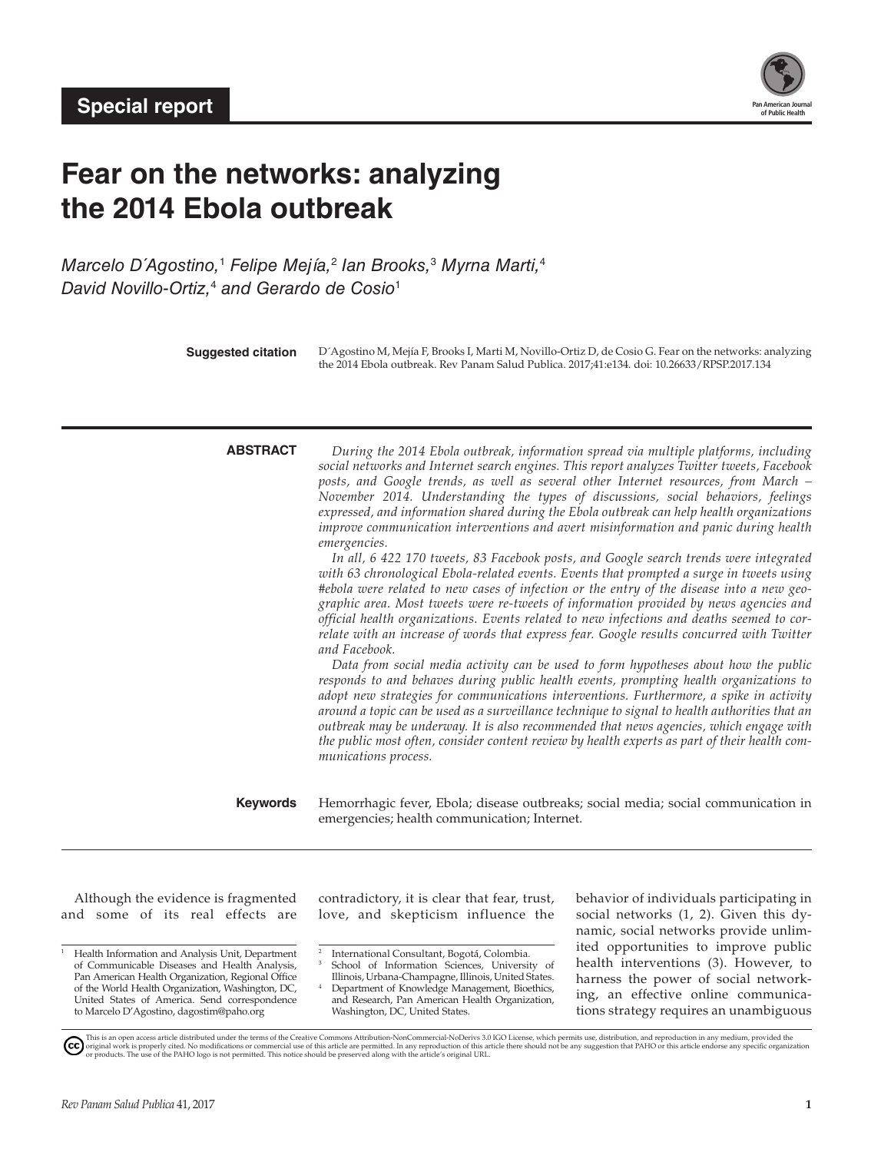

# **Fear on the networks: analyzing the 2014 Ebola outbreak**

*Marcelo D´Agostino,*<sup>1</sup>  *Felipe Mejía,*<sup>2</sup>  *Ian Brooks,*<sup>3</sup>  *Myrna Marti,*<sup>4</sup> *David Novillo-Ortiz,*<sup>4</sup>  *and Gerardo de Cosio*<sup>1</sup>

**Suggested citation** D´Agostino M, Mejía F, Brooks I, Marti M, Novillo-Ortiz D, de Cosio G. Fear on the networks: analyzing the 2014 Ebola outbreak. Rev Panam Salud Publica. 2017;41:e134. doi: 10.26633/RPSP.2017.134

| <b>ABSTRACT</b> |  |
|-----------------|--|
|-----------------|--|

**ABSTRACT** *During the 2014 Ebola outbreak, information spread via multiple platforms, including social networks and Internet search engines. This report analyzes Twitter tweets, Facebook posts, and Google trends, as well as several other Internet resources, from March – November 2014. Understanding the types of discussions, social behaviors, feelings expressed, and information shared during the Ebola outbreak can help health organizations improve communication interventions and avert misinformation and panic during health emergencies.*

*In all, 6 422 170 tweets, 83 Facebook posts, and Google search trends were integrated with 63 chronological Ebola-related events. Events that prompted a surge in tweets using #ebola were related to new cases of infection or the entry of the disease into a new geographic area. Most tweets were re-tweets of information provided by news agencies and official health organizations. Events related to new infections and deaths seemed to correlate with an increase of words that express fear. Google results concurred with Twitter and Facebook.*

*Data from social media activity can be used to form hypotheses about how the public responds to and behaves during public health events, prompting health organizations to adopt new strategies for communications interventions. Furthermore, a spike in activity around a topic can be used as a surveillance technique to signal to health authorities that an outbreak may be underway. It is also recommended that news agencies, which engage with the public most often, consider content review by health experts as part of their health communications process.*

**Keywords** Hemorrhagic fever, Ebola; disease outbreaks; social media; social communication in emergencies; health communication; Internet.

Although the evidence is fragmented and some of its real effects are

<sup>1</sup> Health Information and Analysis Unit, Department of Communicable Diseases and Health Analysis, Pan American Health Organization, Regional Office of the World Health Organization, Washington, DC, United States of America. Send correspondence to Marcelo D'Agostino, [dagostim@paho.org](mailto:dagostim@paho.org)

contradictory, it is clear that fear, trust, love, and skepticism influence the

School of Information Sciences, University of Illinois, Urbana-Champagne, Illinois, United States. Department of Knowledge Management, Bioethics, and Research, Pan American Health Organization, Washington, DC, United States.

behavior of individuals participating in social networks (1, 2). Given this dynamic, social networks provide unlimited opportunities to improve public health interventions (3). However, to harness the power of social networking, an effective online communications strategy requires an unambiguous

<sup>2</sup> International Consultant, Bogotá, Colombia.

This is an open access article distributed under the terms of the [Creative Commons Attribution-NonCommercial-NoDerivs 3.0 IGO License](https://creativecommons.org/licenses/by-nc-nd/3.0/igo/legalcode), which permits use, distribution, and reproduction in any medium, provided the<br>orignal w (cc)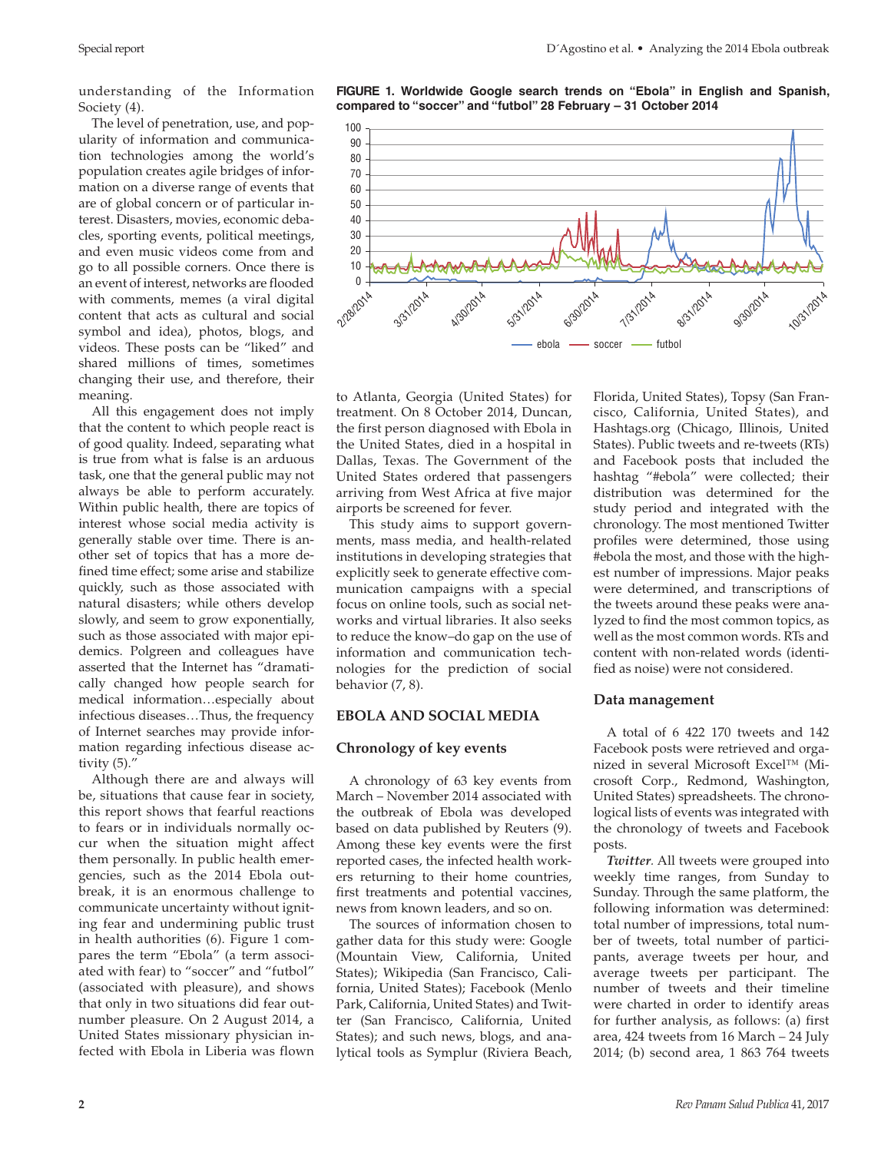understanding of the Information Society (4).

The level of penetration, use, and popularity of information and communication technologies among the world's population creates agile bridges of information on a diverse range of events that are of global concern or of particular interest. Disasters, movies, economic debacles, sporting events, political meetings, and even music videos come from and go to all possible corners. Once there is an event of interest, networks are flooded with comments, memes (a viral digital content that acts as cultural and social symbol and idea), photos, blogs, and videos. These posts can be "liked" and shared millions of times, sometimes changing their use, and therefore, their meaning.

All this engagement does not imply that the content to which people react is of good quality. Indeed, separating what is true from what is false is an arduous task, one that the general public may not always be able to perform accurately. Within public health, there are topics of interest whose social media activity is generally stable over time. There is another set of topics that has a more defined time effect; some arise and stabilize quickly, such as those associated with natural disasters; while others develop slowly, and seem to grow exponentially, such as those associated with major epidemics. Polgreen and colleagues have asserted that the Internet has "dramatically changed how people search for medical information…especially about infectious diseases…Thus, the frequency of Internet searches may provide information regarding infectious disease activity (5)."

Although there are and always will be, situations that cause fear in society, this report shows that fearful reactions to fears or in individuals normally occur when the situation might affect them personally. In public health emergencies, such as the 2014 Ebola outbreak, it is an enormous challenge to communicate uncertainty without igniting fear and undermining public trust in health authorities (6). Figure 1 compares the term "Ebola" (a term associated with fear) to "soccer" and "futbol" (associated with pleasure), and shows that only in two situations did fear outnumber pleasure. On 2 August 2014, a United States missionary physician infected with Ebola in Liberia was flown

**FIGURE 1. Worldwide Google search trends on "Ebola" in English and Spanish, compared to "soccer" and "futbol" 28 February – 31 October 2014**



to Atlanta, Georgia (United States) for treatment. On 8 October 2014, Duncan, the first person diagnosed with Ebola in the United States, died in a hospital in Dallas, Texas. The Government of the United States ordered that passengers arriving from West Africa at five major airports be screened for fever.

This study aims to support governments, mass media, and health-related institutions in developing strategies that explicitly seek to generate effective communication campaigns with a special focus on online tools, such as social networks and virtual libraries. It also seeks to reduce the know–do gap on the use of information and communication technologies for the prediction of social behavior (7, 8).

### **EBOLA AND SOCIAL MEDIA**

#### **Chronology of key events**

A chronology of 63 key events from March – November 2014 associated with the outbreak of Ebola was developed based on data published by Reuters (9). Among these key events were the first reported cases, the infected health workers returning to their home countries, first treatments and potential vaccines, news from known leaders, and so on.

The sources of information chosen to gather data for this study were: Google (Mountain View, California, United States); Wikipedia (San Francisco, California, United States); Facebook (Menlo Park, California, United States) and Twitter (San Francisco, California, United States); and such news, blogs, and analytical tools as Symplur (Riviera Beach,

Florida, United States), Topsy (San Francisco, California, United States), and Hashtags.org (Chicago, Illinois, United States). Public tweets and re-tweets (RTs) and Facebook posts that included the hashtag "#ebola" were collected; their distribution was determined for the study period and integrated with the chronology. The most mentioned Twitter profiles were determined, those using #ebola the most, and those with the highest number of impressions. Major peaks were determined, and transcriptions of the tweets around these peaks were analyzed to find the most common topics, as well as the most common words. RTs and content with non-related words (identified as noise) were not considered.

#### **Data management**

A total of 6 422 170 tweets and 142 Facebook posts were retrieved and organized in several Microsoft Excel™ (Microsoft Corp., Redmond, Washington, United States) spreadsheets. The chronological lists of events was integrated with the chronology of tweets and Facebook posts.

*Twitter.* All tweets were grouped into weekly time ranges, from Sunday to Sunday. Through the same platform, the following information was determined: total number of impressions, total number of tweets, total number of participants, average tweets per hour, and average tweets per participant. The number of tweets and their timeline were charted in order to identify areas for further analysis, as follows: (a) first area, 424 tweets from 16 March – 24 July 2014; (b) second area, 1 863 764 tweets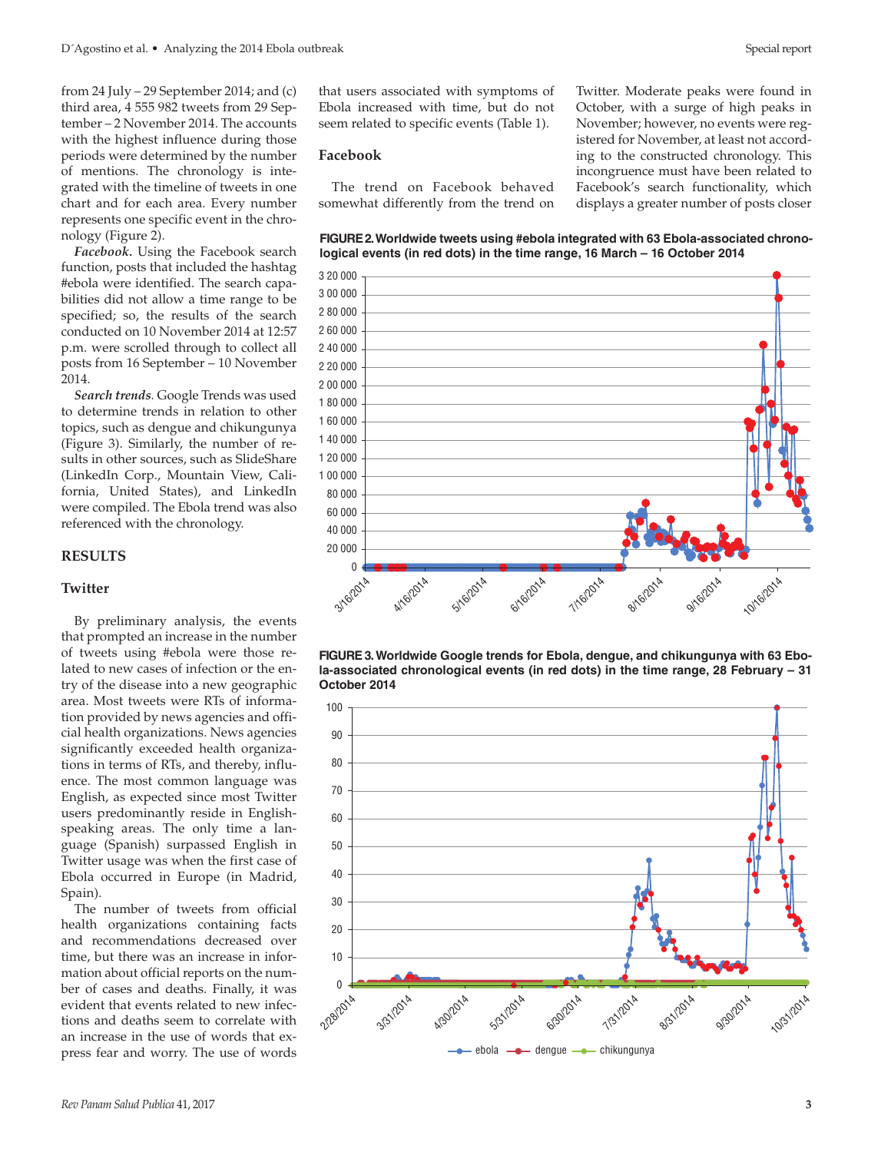from 24 July – 29 September 2014; and  $(c)$ third area, 4 555 982 tweets from 29 September – 2 November 2014. The accounts with the highest influence during those periods were determined by the number of mentions. The chronology is integrated with the timeline of tweets in one chart and for each area. Every number represents one specific event in the chronology (Figure 2).

*Facebook.* Using the Facebook search function, posts that included the hashtag #ebola were identified. The search capabilities did not allow a time range to be specified; so, the results of the search conducted on 10 November 2014 at 12:57 p.m. were scrolled through to collect all posts from 16 September – 10 November 2014.

*Search trends.* Google Trends was used to determine trends in relation to other topics, such as dengue and chikungunya (Figure 3). Similarly, the number of results in other sources, such as SlideShare (LinkedIn Corp., Mountain View, California, United States), and LinkedIn were compiled. The Ebola trend was also referenced with the chronology.

#### **RESULTS**

#### **Twitter**

By preliminary analysis, the events that prompted an increase in the number of tweets using #ebola were those related to new cases of infection or the entry of the disease into a new geographic area. Most tweets were RTs of information provided by news agencies and official health organizations. News agencies significantly exceeded health organizations in terms of RTs, and thereby, influence. The most common language was English, as expected since most Twitter users predominantly reside in Englishspeaking areas. The only time a language (Spanish) surpassed English in Twitter usage was when the first case of Ebola occurred in Europe (in Madrid, Spain).

The number of tweets from official health organizations containing facts and recommendations decreased over time, but there was an increase in information about official reports on the number of cases and deaths. Finally, it was evident that events related to new infections and deaths seem to correlate with an increase in the use of words that express fear and worry. The use of words

that users associated with symptoms of Ebola increased with time, but do not seem related to specific events (Table 1).

#### **Facebook**

The trend on Facebook behaved somewhat differently from the trend on Twitter. Moderate peaks were found in October, with a surge of high peaks in November; however, no events were registered for November, at least not according to the constructed chronology. This incongruence must have been related to Facebook's search functionality, which displays a greater number of posts closer







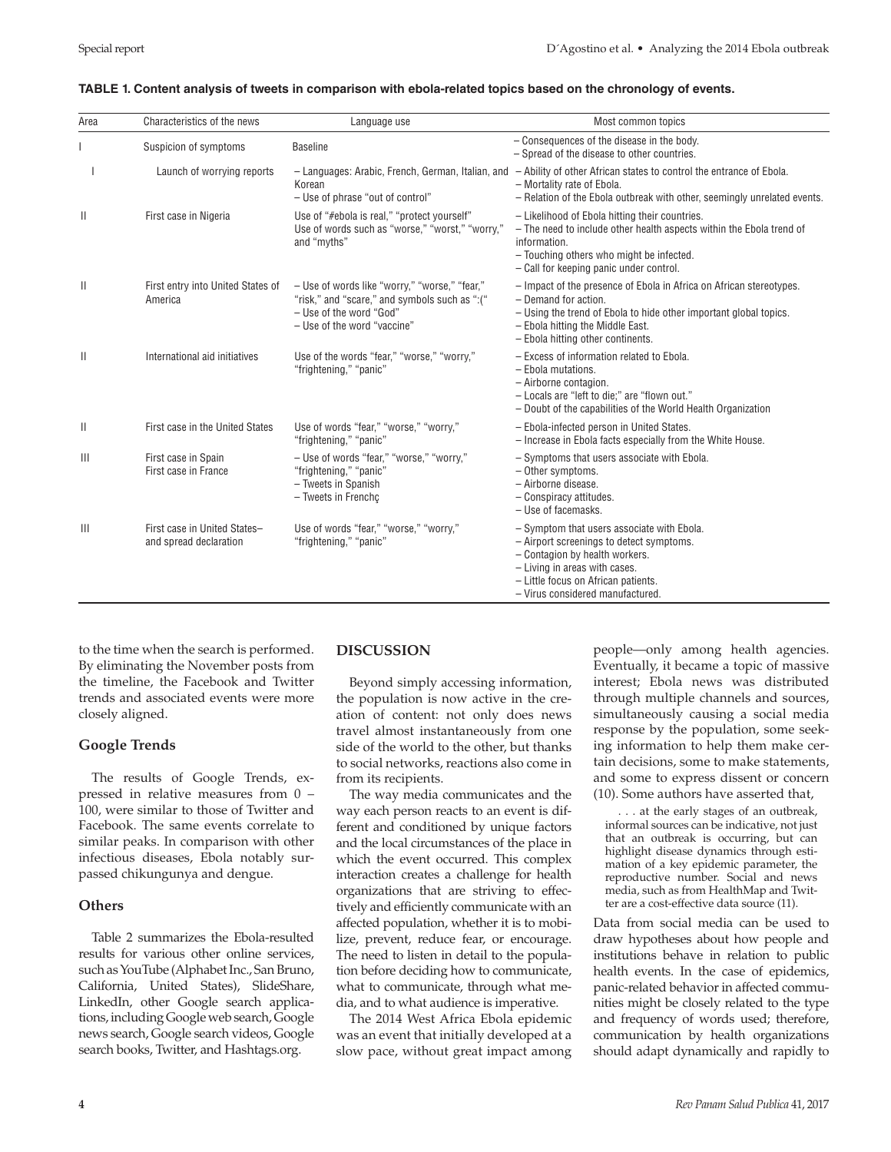| Area         | Characteristics of the news                            | Language use                                                                                                                                             | Most common topics                                                                                                                                                                                                                          |  |
|--------------|--------------------------------------------------------|----------------------------------------------------------------------------------------------------------------------------------------------------------|---------------------------------------------------------------------------------------------------------------------------------------------------------------------------------------------------------------------------------------------|--|
|              | Suspicion of symptoms                                  | <b>Baseline</b>                                                                                                                                          | - Consequences of the disease in the body.<br>- Spread of the disease to other countries.                                                                                                                                                   |  |
|              | Launch of worrying reports                             | Korean<br>- Use of phrase "out of control"                                                                                                               | $-$ Languages: Arabic, French, German, Italian, and $-$ Ability of other African states to control the entrance of Ebola.<br>- Mortality rate of Ebola.<br>- Relation of the Ebola outbreak with other, seemingly unrelated events.         |  |
| Ш            | First case in Nigeria                                  | Use of "#ebola is real," "protect yourself"<br>Use of words such as "worse," "worst," "worry,"<br>and "myths"                                            | - Likelihood of Ebola hitting their countries.<br>- The need to include other health aspects within the Ebola trend of<br>information.<br>- Touching others who might be infected.<br>- Call for keeping panic under control.               |  |
| $\mathbf{H}$ | First entry into United States of<br>America           | - Use of words like "worry," "worse," "fear,"<br>"risk," and "scare," and symbols such as ":("<br>- Use of the word "God"<br>- Use of the word "vaccine" | - Impact of the presence of Ebola in Africa on African stereotypes.<br>$-$ Demand for action.<br>- Using the trend of Ebola to hide other important global topics.<br>- Ebola hitting the Middle East.<br>- Ebola hitting other continents. |  |
| $\mathbf{H}$ | International aid initiatives                          | Use of the words "fear," "worse," "worry,"<br>"frightening," "panic"                                                                                     | - Excess of information related to Ebola.<br>- Ebola mutations.<br>- Airborne contagion.<br>- Locals are "left to die;" are "flown out."<br>- Doubt of the capabilities of the World Health Organization                                    |  |
| $\mathbf{H}$ | First case in the United States                        | Use of words "fear," "worse," "worry,"<br>"frightening," "panic"                                                                                         | - Ebola-infected person in United States.<br>- Increase in Ebola facts especially from the White House.                                                                                                                                     |  |
| $\mathbb{H}$ | First case in Spain<br>First case in France            | - Use of words "fear," "worse," "worry,"<br>"frightening," "panic"<br>- Tweets in Spanish<br>- Tweets in Frenchc                                         | - Symptoms that users associate with Ebola.<br>- Other symptoms.<br>- Airborne disease.<br>- Conspiracy attitudes.<br>- Use of facemasks.                                                                                                   |  |
| $\mathbb{H}$ | First case in United States-<br>and spread declaration | Use of words "fear," "worse," "worry,"<br>"frightening," "panic"                                                                                         | - Symptom that users associate with Ebola.<br>- Airport screenings to detect symptoms.<br>- Contagion by health workers.<br>- Living in areas with cases.<br>- Little focus on African patients.<br>- Virus considered manufactured.        |  |

#### **TABLE 1. Content analysis of tweets in comparison with ebola-related topics based on the chronology of events.**

to the time when the search is performed. By eliminating the November posts from the timeline, the Facebook and Twitter trends and associated events were more closely aligned.

### **Google Trends**

The results of Google Trends, expressed in relative measures from 0 – 100, were similar to those of Twitter and Facebook. The same events correlate to similar peaks. In comparison with other infectious diseases, Ebola notably surpassed chikungunya and dengue.

### **Others**

Table 2 summarizes the Ebola-resulted results for various other online services, such as YouTube (Alphabet Inc., San Bruno, California, United States), SlideShare, LinkedIn, other Google search applications, including Google web search, Google news search, Google search videos, Google search books, Twitter, and Hashtags.org.

### **DISCUSSION**

Beyond simply accessing information, the population is now active in the creation of content: not only does news travel almost instantaneously from one side of the world to the other, but thanks to social networks, reactions also come in from its recipients.

The way media communicates and the way each person reacts to an event is different and conditioned by unique factors and the local circumstances of the place in which the event occurred. This complex interaction creates a challenge for health organizations that are striving to effectively and efficiently communicate with an affected population, whether it is to mobilize, prevent, reduce fear, or encourage. The need to listen in detail to the population before deciding how to communicate, what to communicate, through what media, and to what audience is imperative.

The 2014 West Africa Ebola epidemic was an event that initially developed at a slow pace, without great impact among people—only among health agencies. Eventually, it became a topic of massive interest; Ebola news was distributed through multiple channels and sources, simultaneously causing a social media response by the population, some seeking information to help them make certain decisions, some to make statements, and some to express dissent or concern (10). Some authors have asserted that,

. . . at the early stages of an outbreak, informal sources can be indicative, not just that an outbreak is occurring, but can highlight disease dynamics through estimation of a key epidemic parameter, the reproductive number. Social and news media, such as from HealthMap and Twitter are a cost-effective data source (11).

Data from social media can be used to draw hypotheses about how people and institutions behave in relation to public health events. In the case of epidemics, panic-related behavior in affected communities might be closely related to the type and frequency of words used; therefore, communication by health organizations should adapt dynamically and rapidly to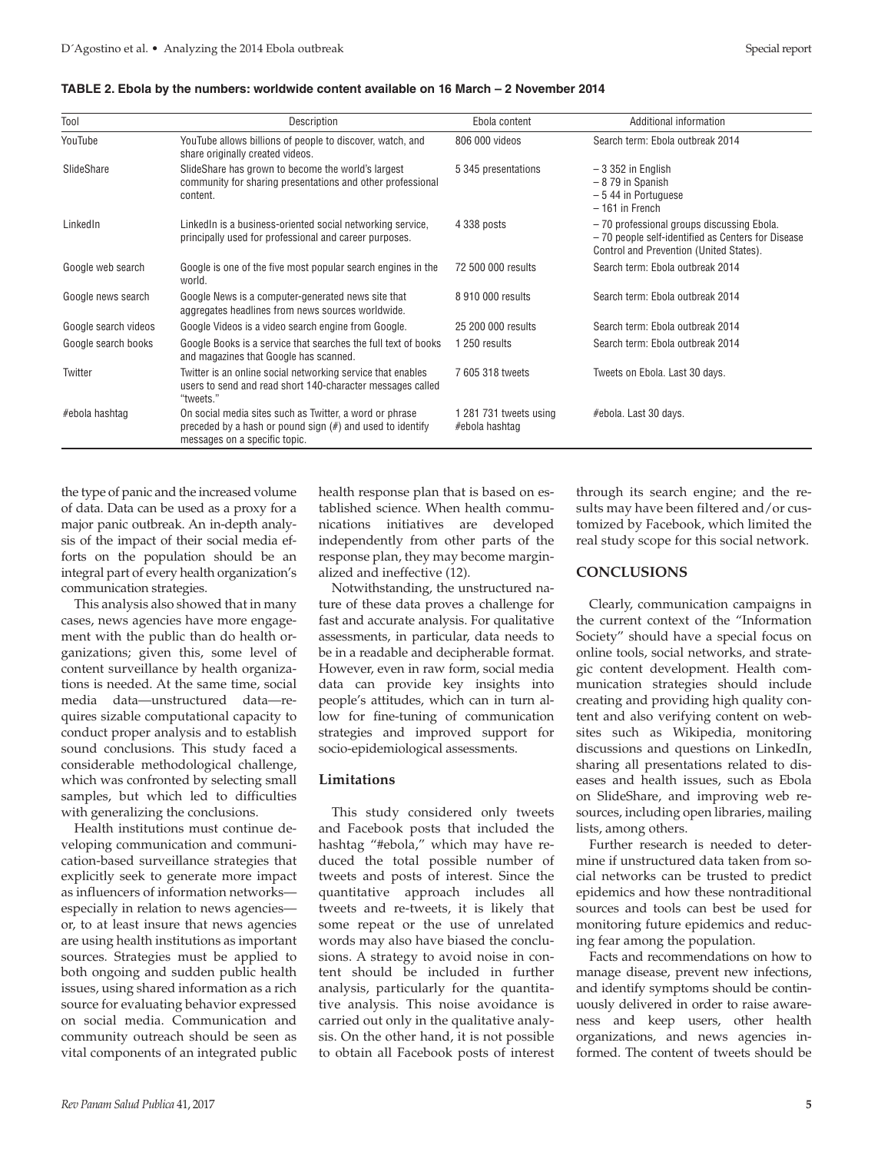| Tool                 | Description                                                                                                                                              | Ebola content                            | Additional information                                                                                                                    |
|----------------------|----------------------------------------------------------------------------------------------------------------------------------------------------------|------------------------------------------|-------------------------------------------------------------------------------------------------------------------------------------------|
| YouTube              | YouTube allows billions of people to discover, watch, and<br>share originally created videos.                                                            | 806 000 videos                           | Search term: Ebola outbreak 2014                                                                                                          |
| SlideShare           | SlideShare has grown to become the world's largest<br>community for sharing presentations and other professional<br>content.                             | 5 345 presentations                      | $-3352$ in English<br>$-879$ in Spanish<br>$-544$ in Portuguese<br>$-161$ in French                                                       |
| LinkedIn             | LinkedIn is a business-oriented social networking service,<br>principally used for professional and career purposes.                                     | 4 338 posts                              | -70 professional groups discussing Ebola.<br>-70 people self-identified as Centers for Disease<br>Control and Prevention (United States). |
| Google web search    | Google is one of the five most popular search engines in the<br>world.                                                                                   | 72 500 000 results                       | Search term: Ebola outbreak 2014                                                                                                          |
| Google news search   | Google News is a computer-generated news site that<br>aggregates headlines from news sources worldwide.                                                  | 8 910 000 results                        | Search term: Ebola outbreak 2014                                                                                                          |
| Google search videos | Google Videos is a video search engine from Google.                                                                                                      | 25 200 000 results                       | Search term: Ebola outbreak 2014                                                                                                          |
| Google search books  | Google Books is a service that searches the full text of books<br>and magazines that Google has scanned.                                                 | 1 250 results                            | Search term: Ebola outbreak 2014                                                                                                          |
| Twitter              | Twitter is an online social networking service that enables<br>users to send and read short 140-character messages called<br>"tweets."                   | 7 605 318 tweets                         | Tweets on Ebola. Last 30 days.                                                                                                            |
| #ebola hashtaq       | On social media sites such as Twitter, a word or phrase<br>preceded by a hash or pound sign $(\#)$ and used to identify<br>messages on a specific topic. | 1 281 731 tweets using<br>#ebola hashtag | #ebola. Last 30 days.                                                                                                                     |

#### **TABLE 2. Ebola by the numbers: worldwide content available on 16 March – 2 November 2014**

the type of panic and the increased volume of data. Data can be used as a proxy for a major panic outbreak. An in-depth analysis of the impact of their social media efforts on the population should be an integral part of every health organization's communication strategies.

This analysis also showed that in many cases, news agencies have more engagement with the public than do health organizations; given this, some level of content surveillance by health organizations is needed. At the same time, social media data—unstructured data—requires sizable computational capacity to conduct proper analysis and to establish sound conclusions. This study faced a considerable methodological challenge, which was confronted by selecting small samples, but which led to difficulties with generalizing the conclusions.

Health institutions must continue developing communication and communication-based surveillance strategies that explicitly seek to generate more impact as influencers of information networks especially in relation to news agencies or, to at least insure that news agencies are using health institutions as important sources. Strategies must be applied to both ongoing and sudden public health issues, using shared information as a rich source for evaluating behavior expressed on social media. Communication and community outreach should be seen as vital components of an integrated public health response plan that is based on established science. When health communications initiatives are developed independently from other parts of the response plan, they may become marginalized and ineffective (12).

Notwithstanding, the unstructured nature of these data proves a challenge for fast and accurate analysis. For qualitative assessments, in particular, data needs to be in a readable and decipherable format. However, even in raw form, social media data can provide key insights into people's attitudes, which can in turn allow for fine-tuning of communication strategies and improved support for socio-epidemiological assessments.

### **Limitations**

This study considered only tweets and Facebook posts that included the hashtag "#ebola," which may have reduced the total possible number of tweets and posts of interest. Since the quantitative approach includes all tweets and re-tweets, it is likely that some repeat or the use of unrelated words may also have biased the conclusions. A strategy to avoid noise in content should be included in further analysis, particularly for the quantitative analysis. This noise avoidance is carried out only in the qualitative analysis. On the other hand, it is not possible to obtain all Facebook posts of interest

through its search engine; and the results may have been filtered and/or customized by Facebook, which limited the real study scope for this social network.

### **CONCLUSIONS**

Clearly, communication campaigns in the current context of the "Information Society" should have a special focus on online tools, social networks, and strategic content development. Health communication strategies should include creating and providing high quality content and also verifying content on websites such as Wikipedia, monitoring discussions and questions on LinkedIn, sharing all presentations related to diseases and health issues, such as Ebola on SlideShare, and improving web resources, including open libraries, mailing lists, among others.

Further research is needed to determine if unstructured data taken from social networks can be trusted to predict epidemics and how these nontraditional sources and tools can best be used for monitoring future epidemics and reducing fear among the population.

Facts and recommendations on how to manage disease, prevent new infections, and identify symptoms should be continuously delivered in order to raise awareness and keep users, other health organizations, and news agencies informed. The content of tweets should be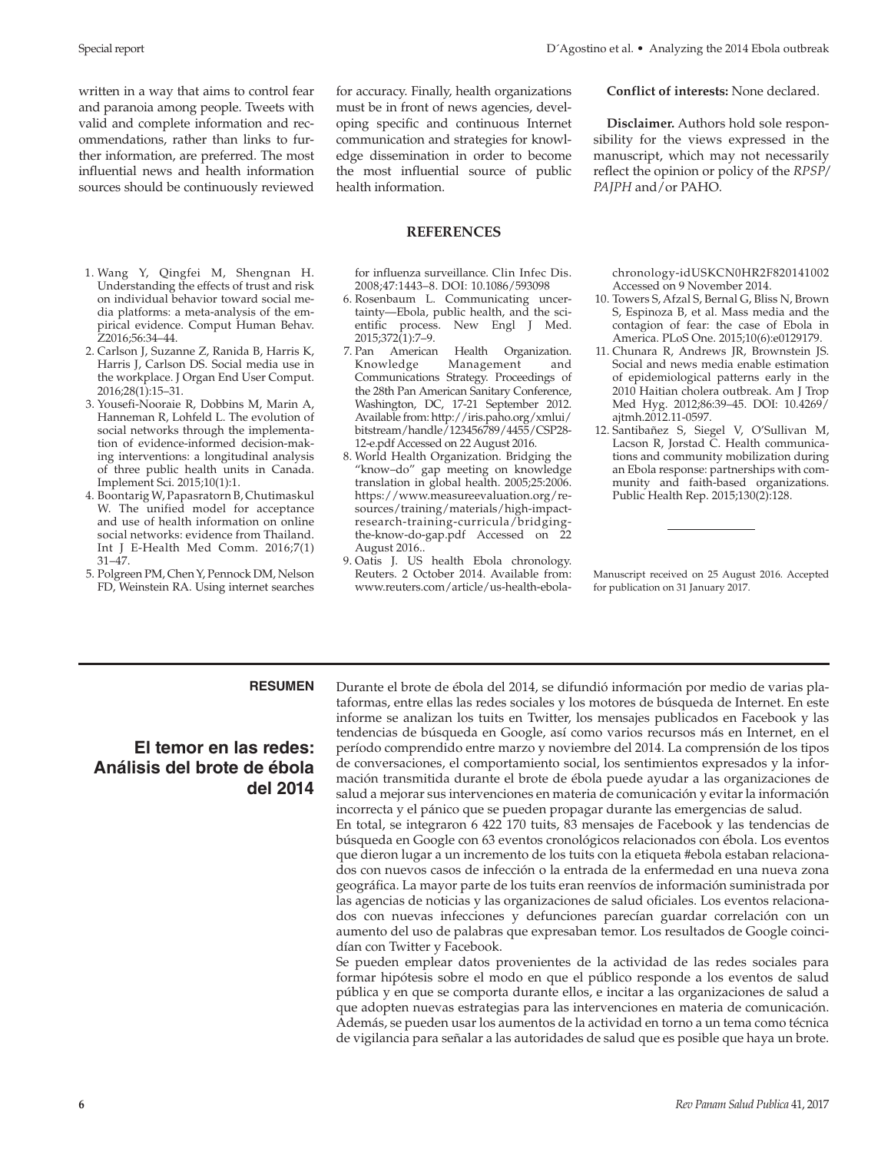written in a way that aims to control fear and paranoia among people. Tweets with valid and complete information and recommendations, rather than links to further information, are preferred. The most influential news and health information sources should be continuously reviewed

- 1. Wang Y, Qingfei M, Shengnan H. Understanding the effects of trust and risk on individual behavior toward social media platforms: a meta-analysis of the empirical evidence. Comput Human Behav. Z2016;56:34–44.
- 2. Carlson J, Suzanne Z, Ranida B, Harris K, Harris J, Carlson DS. Social media use in the workplace. J Organ End User Comput. 2016;28(1):15–31.
- 3. Yousefi-Nooraie R, Dobbins M, Marin A, Hanneman R, Lohfeld L. The evolution of social networks through the implementation of evidence-informed decision-making interventions: a longitudinal analysis of three public health units in Canada. Implement Sci. 2015;10(1):1.
- 4. Boontarig W, Papasratorn B, Chutimaskul W. The unified model for acceptance and use of health information on online social networks: evidence from Thailand. Int J E-Health Med Comm. 2016;7(1) 31–47.
- 5. Polgreen PM, Chen Y, Pennock DM, Nelson FD, Weinstein RA. Using internet searches

for accuracy. Finally, health organizations must be in front of news agencies, developing specific and continuous Internet communication and strategies for knowledge dissemination in order to become the most influential source of public health information.

#### **REFERENCES**

for influenza surveillance. Clin Infec Dis. 2008;47:1443–8. DOI: 10.1086/593098

- 6. Rosenbaum L. Communicating uncertainty—Ebola, public health, and the scientific process. New Engl J Med. 2015;372(1):7–9.
- 7. Pan American Health Organization. Knowledge Management and Communications Strategy. Proceedings of the 28th Pan American Sanitary Conference, Washington, DC, 17-21 September 2012. Available from[: http://iris.paho.org/xmlui/]( http://iris.paho.org/xmlui/bitstream/handle/123456789/4455/CSP2812e.pdf) [bitstream/handle/123456789/4455/CSP28-]( http://iris.paho.org/xmlui/bitstream/handle/123456789/4455/CSP2812e.pdf) [12-e.pdf]( http://iris.paho.org/xmlui/bitstream/handle/123456789/4455/CSP2812e.pdf) Accessed on 22 August 2016.
- 8. World Health Organization. Bridging the "know–do" gap meeting on knowledge translation in global health. 2005;25:2006. [https://www.measureevaluation.org/re]( https://www.measureevaluation.org/resources/training/materials/highimpactresearchtrainingcurricula/bridgingtheknowdogap.pdf)[sources/training/materials/high-impact]( https://www.measureevaluation.org/resources/training/materials/highimpactresearchtrainingcurricula/bridgingtheknowdogap.pdf)[research-training-curricula/bridging]( https://www.measureevaluation.org/resources/training/materials/highimpactresearchtrainingcurricula/bridgingtheknowdogap.pdf)[the-know-do-gap.pdf]( https://www.measureevaluation.org/resources/training/materials/highimpactresearchtrainingcurricula/bridgingtheknowdogap.pdf) Accessed on 22 August 2016..
- 9. Oatis J. US health Ebola chronology. Reuters. 2 October 2014. Available from: [www.reuters.com/article/us-health-ebola-]( www.reuters.com/article/ushealthebolachronologyidUSKCN0HR2F820141002)

**Conflict of interests:** None declared.

**Disclaimer.** Authors hold sole responsibility for the views expressed in the manuscript, which may not necessarily reflect the opinion or policy of the *RPSP/ PAJPH* and/or PAHO.

[chronology-idUSKCN0HR2F820141002]( www.reuters.com/article/ushealthebolachronologyidUSKCN0HR2F820141002) Accessed on 9 November 2014.

- 10. Towers S, Afzal S, Bernal G, Bliss N, Brown S, Espinoza B, et al. Mass media and the contagion of fear: the case of Ebola in America. PLoS One. 2015;10(6):e0129179.
- 11. Chunara R, Andrews JR, Brownstein JS. Social and news media enable estimation of epidemiological patterns early in the 2010 Haitian cholera outbreak. Am J Trop Med Hyg. 2012;86:39–45. DOI: 10.4269/ ajtmh.2012.11-0597.
- 12. Santibañez S, Siegel V, O'Sullivan M, Lacson R, Jorstad C. Health communications and community mobilization during an Ebola response: partnerships with community and faith-based organizations. Public Health Rep. 2015;130(2):128.

Manuscript received on 25 August 2016. Accepted for publication on 31 January 2017.

# **El temor en las redes: Análisis del brote de ébola del 2014**

**RESUMEN** Durante el brote de ébola del 2014, se difundió información por medio de varias plataformas, entre ellas las redes sociales y los motores de búsqueda de Internet. En este informe se analizan los tuits en Twitter, los mensajes publicados en Facebook y las tendencias de búsqueda en Google, así como varios recursos más en Internet, en el período comprendido entre marzo y noviembre del 2014. La comprensión de los tipos de conversaciones, el comportamiento social, los sentimientos expresados y la información transmitida durante el brote de ébola puede ayudar a las organizaciones de salud a mejorar sus intervenciones en materia de comunicación y evitar la información incorrecta y el pánico que se pueden propagar durante las emergencias de salud.

> En total, se integraron 6 422 170 tuits, 83 mensajes de Facebook y las tendencias de búsqueda en Google con 63 eventos cronológicos relacionados con ébola. Los eventos que dieron lugar a un incremento de los tuits con la etiqueta #ebola estaban relacionados con nuevos casos de infección o la entrada de la enfermedad en una nueva zona geográfica. La mayor parte de los tuits eran reenvíos de información suministrada por las agencias de noticias y las organizaciones de salud oficiales. Los eventos relacionados con nuevas infecciones y defunciones parecían guardar correlación con un aumento del uso de palabras que expresaban temor. Los resultados de Google coincidían con Twitter y Facebook.

> Se pueden emplear datos provenientes de la actividad de las redes sociales para formar hipótesis sobre el modo en que el público responde a los eventos de salud pública y en que se comporta durante ellos, e incitar a las organizaciones de salud a que adopten nuevas estrategias para las intervenciones en materia de comunicación. Además, se pueden usar los aumentos de la actividad en torno a un tema como técnica de vigilancia para señalar a las autoridades de salud que es posible que haya un brote.